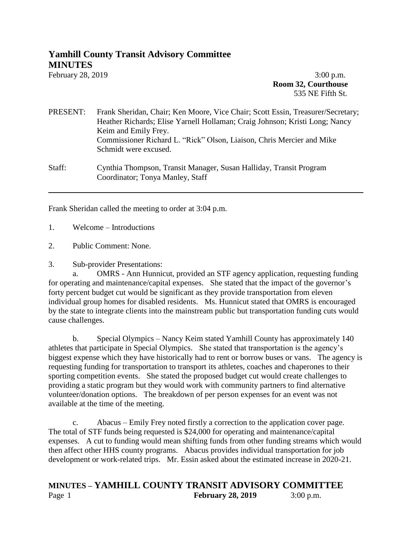## **Yamhill County Transit Advisory Committee MINUTES**

February 28, 2019 **3:00 p.m. Room 32, Courthouse** 535 NE Fifth St.

PRESENT: Frank Sheridan, Chair; Ken Moore, Vice Chair; Scott Essin, Treasurer/Secretary; Heather Richards; Elise Yarnell Hollaman; Craig Johnson; Kristi Long; Nancy Keim and Emily Frey. Commissioner Richard L. "Rick" Olson, Liaison, Chris Mercier and Mike Schmidt were excused.

Staff: Cynthia Thompson, Transit Manager, Susan Halliday, Transit Program Coordinator; Tonya Manley, Staff

Frank Sheridan called the meeting to order at 3:04 p.m.

1. Welcome – Introductions

2. Public Comment: None.

3. Sub-provider Presentations:

a. OMRS - Ann Hunnicut, provided an STF agency application, requesting funding for operating and maintenance/capital expenses. She stated that the impact of the governor's forty percent budget cut would be significant as they provide transportation from eleven individual group homes for disabled residents. Ms. Hunnicut stated that OMRS is encouraged by the state to integrate clients into the mainstream public but transportation funding cuts would cause challenges.

b. Special Olympics – Nancy Keim stated Yamhill County has approximately 140 athletes that participate in Special Olympics. She stated that transportation is the agency's biggest expense which they have historically had to rent or borrow buses or vans. The agency is requesting funding for transportation to transport its athletes, coaches and chaperones to their sporting competition events. She stated the proposed budget cut would create challenges to providing a static program but they would work with community partners to find alternative volunteer/donation options. The breakdown of per person expenses for an event was not available at the time of the meeting.

c. Abacus – Emily Frey noted firstly a correction to the application cover page. The total of STF funds being requested is \$24,000 for operating and maintenance/capital expenses. A cut to funding would mean shifting funds from other funding streams which would then affect other HHS county programs. Abacus provides individual transportation for job development or work-related trips. Mr. Essin asked about the estimated increase in 2020-21.

## **MINUTES – YAMHILL COUNTY TRANSIT ADVISORY COMMITTEE** Page 1 **February 28, 2019** 3:00 p.m.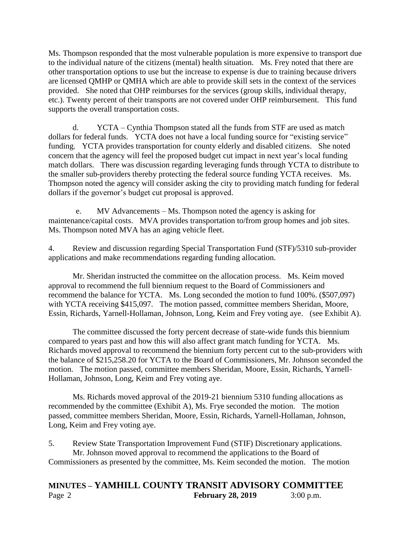Ms. Thompson responded that the most vulnerable population is more expensive to transport due to the individual nature of the citizens (mental) health situation. Ms. Frey noted that there are other transportation options to use but the increase to expense is due to training because drivers are licensed QMHP or QMHA which are able to provide skill sets in the context of the services provided. She noted that OHP reimburses for the services (group skills, individual therapy, etc.). Twenty percent of their transports are not covered under OHP reimbursement. This fund supports the overall transportation costs.

d. YCTA – Cynthia Thompson stated all the funds from STF are used as match dollars for federal funds. YCTA does not have a local funding source for "existing service" funding. YCTA provides transportation for county elderly and disabled citizens. She noted concern that the agency will feel the proposed budget cut impact in next year's local funding match dollars. There was discussion regarding leveraging funds through YCTA to distribute to the smaller sub-providers thereby protecting the federal source funding YCTA receives. Ms. Thompson noted the agency will consider asking the city to providing match funding for federal dollars if the governor's budget cut proposal is approved.

e. MV Advancements – Ms. Thompson noted the agency is asking for maintenance/capital costs. MVA provides transportation to/from group homes and job sites. Ms. Thompson noted MVA has an aging vehicle fleet.

4. Review and discussion regarding Special Transportation Fund (STF)/5310 sub-provider applications and make recommendations regarding funding allocation.

Mr. Sheridan instructed the committee on the allocation process. Ms. Keim moved approval to recommend the full biennium request to the Board of Commissioners and recommend the balance for YCTA. Ms. Long seconded the motion to fund 100%. (\$507,097) with YCTA receiving \$415,097. The motion passed, committee members Sheridan, Moore, Essin, Richards, Yarnell-Hollaman, Johnson, Long, Keim and Frey voting aye. (see Exhibit A).

The committee discussed the forty percent decrease of state-wide funds this biennium compared to years past and how this will also affect grant match funding for YCTA. Ms. Richards moved approval to recommend the biennium forty percent cut to the sub-providers with the balance of \$215,258.20 for YCTA to the Board of Commissioners, Mr. Johnson seconded the motion. The motion passed, committee members Sheridan, Moore, Essin, Richards, Yarnell-Hollaman, Johnson, Long, Keim and Frey voting aye.

Ms. Richards moved approval of the 2019-21 biennium 5310 funding allocations as recommended by the committee (Exhibit A), Ms. Frye seconded the motion. The motion passed, committee members Sheridan, Moore, Essin, Richards, Yarnell-Hollaman, Johnson, Long, Keim and Frey voting aye.

5. Review State Transportation Improvement Fund (STIF) Discretionary applications. Mr. Johnson moved approval to recommend the applications to the Board of Commissioners as presented by the committee, Ms. Keim seconded the motion. The motion

## **MINUTES – YAMHILL COUNTY TRANSIT ADVISORY COMMITTEE** Page 2 **February 28, 2019** 3:00 p.m.